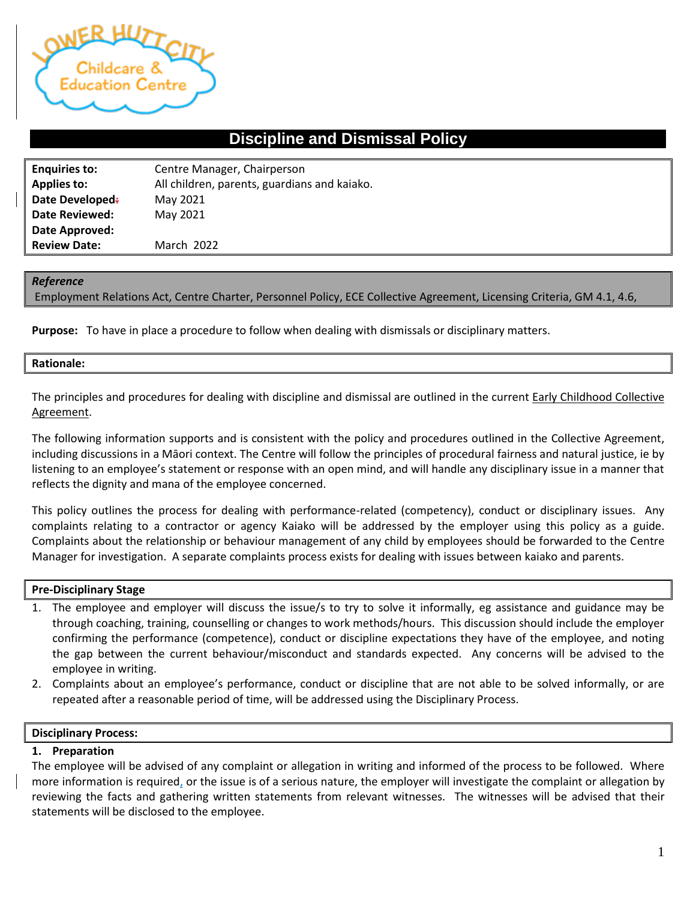

# **Discipline and Dismissal Policy**

| <b>Enquiries to:</b>  | Centre Manager, Chairperson                  |
|-----------------------|----------------------------------------------|
| <b>Applies to:</b>    | All children, parents, guardians and kaiako. |
| Date Developed:       | May 2021                                     |
| <b>Date Reviewed:</b> | May 2021                                     |
| Date Approved:        |                                              |
| <b>Review Date:</b>   | <b>March 2022</b>                            |

### *Reference*

Employment Relations Act, Centre Charter, Personnel Policy, ECE Collective Agreement, Licensing Criteria, GM 4.1, 4.6,

**Purpose:** To have in place a procedure to follow when dealing with dismissals or disciplinary matters.

#### **Rationale:**

The principles and procedures for dealing with discipline and dismissal are outlined in the current Early Childhood Collective Agreement.

The following information supports and is consistent with the policy and procedures outlined in the Collective Agreement, including discussions in a Māori context. The Centre will follow the principles of procedural fairness and natural justice, ie by listening to an employee's statement or response with an open mind, and will handle any disciplinary issue in a manner that reflects the dignity and mana of the employee concerned.

This policy outlines the process for dealing with performance-related (competency), conduct or disciplinary issues. Any complaints relating to a contractor or agency Kaiako will be addressed by the employer using this policy as a guide. Complaints about the relationship or behaviour management of any child by employees should be forwarded to the Centre Manager for investigation. A separate complaints process exists for dealing with issues between kaiako and parents.

### **Pre-Disciplinary Stage**

- 1. The employee and employer will discuss the issue/s to try to solve it informally, eg assistance and guidance may be through coaching, training, counselling or changes to work methods/hours. This discussion should include the employer confirming the performance (competence), conduct or discipline expectations they have of the employee, and noting the gap between the current behaviour/misconduct and standards expected. Any concerns will be advised to the employee in writing.
- 2. Complaints about an employee's performance, conduct or discipline that are not able to be solved informally, or are repeated after a reasonable period of time, will be addressed using the Disciplinary Process.

### **Disciplinary Process:**

### **1. Preparation**

The employee will be advised of any complaint or allegation in writing and informed of the process to be followed. Where more information is required, or the issue is of a serious nature, the employer will investigate the complaint or allegation by reviewing the facts and gathering written statements from relevant witnesses. The witnesses will be advised that their statements will be disclosed to the employee.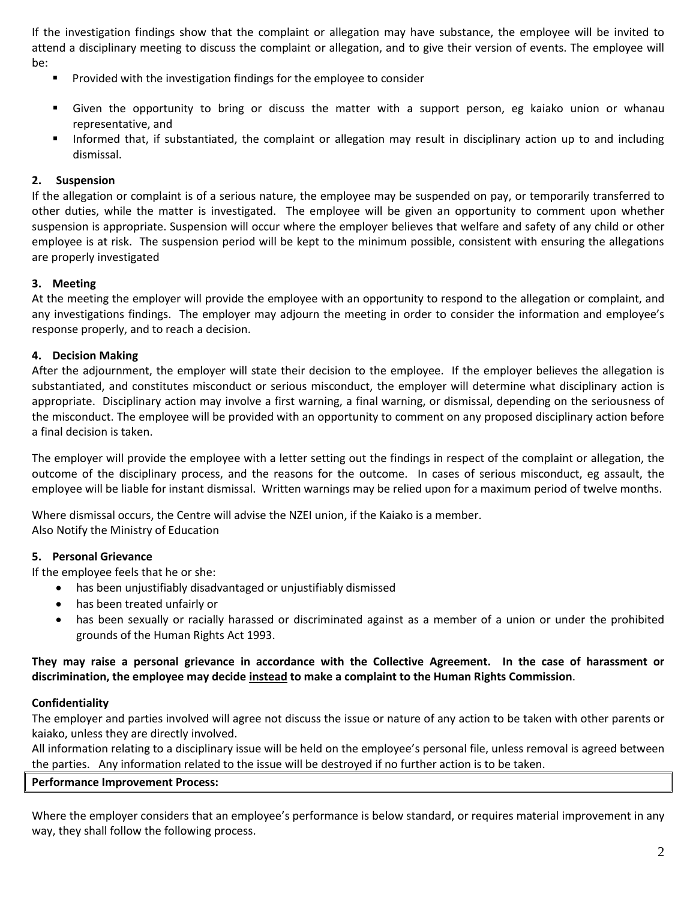If the investigation findings show that the complaint or allegation may have substance, the employee will be invited to attend a disciplinary meeting to discuss the complaint or allegation, and to give their version of events. The employee will be:

- Provided with the investigation findings for the employee to consider
- Given the opportunity to bring or discuss the matter with a support person, eg kaiako union or whanau representative, and
- Informed that, if substantiated, the complaint or allegation may result in disciplinary action up to and including dismissal.

# **2. Suspension**

If the allegation or complaint is of a serious nature, the employee may be suspended on pay, or temporarily transferred to other duties, while the matter is investigated. The employee will be given an opportunity to comment upon whether suspension is appropriate. Suspension will occur where the employer believes that welfare and safety of any child or other employee is at risk. The suspension period will be kept to the minimum possible, consistent with ensuring the allegations are properly investigated

## **3. Meeting**

At the meeting the employer will provide the employee with an opportunity to respond to the allegation or complaint, and any investigations findings. The employer may adjourn the meeting in order to consider the information and employee's response properly, and to reach a decision.

# **4. Decision Making**

After the adjournment, the employer will state their decision to the employee. If the employer believes the allegation is substantiated, and constitutes misconduct or serious misconduct, the employer will determine what disciplinary action is appropriate. Disciplinary action may involve a first warning, a final warning, or dismissal, depending on the seriousness of the misconduct. The employee will be provided with an opportunity to comment on any proposed disciplinary action before a final decision is taken.

The employer will provide the employee with a letter setting out the findings in respect of the complaint or allegation, the outcome of the disciplinary process, and the reasons for the outcome. In cases of serious misconduct, eg assault, the employee will be liable for instant dismissal. Written warnings may be relied upon for a maximum period of twelve months.

Where dismissal occurs, the Centre will advise the NZEI union, if the Kaiako is a member. Also Notify the Ministry of Education

## **5. Personal Grievance**

If the employee feels that he or she:

- has been unjustifiably disadvantaged or unjustifiably dismissed
- has been treated unfairly or
- has been sexually or racially harassed or discriminated against as a member of a union or under the prohibited grounds of the Human Rights Act 1993.

# **They may raise a personal grievance in accordance with the Collective Agreement. In the case of harassment or discrimination, the employee may decide instead to make a complaint to the Human Rights Commission**.

## **Confidentiality**

The employer and parties involved will agree not discuss the issue or nature of any action to be taken with other parents or kaiako, unless they are directly involved.

All information relating to a disciplinary issue will be held on the employee's personal file, unless removal is agreed between the parties. Any information related to the issue will be destroyed if no further action is to be taken.

## **Performance Improvement Process:**

Where the employer considers that an employee's performance is below standard, or requires material improvement in any way, they shall follow the following process.